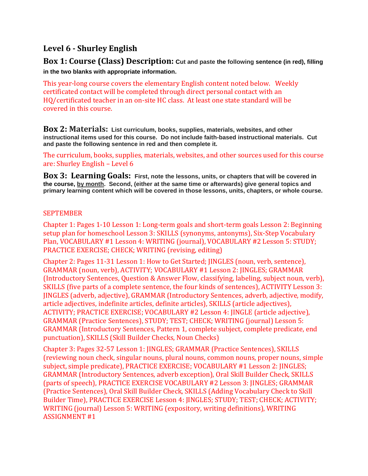# **Level 6 - Shurley English**

**Box 1: Course (Class) Description: Cut and paste the following sentence (in red), filling in the two blanks with appropriate information.** 

This year-long course covers the elementary English content noted below. Weekly certificated contact will be completed through direct personal contact with an HQ/certificated teacher in an on-site HC class. At least one state standard will be covered in this course.

**Box 2: Materials: List curriculum, books, supplies, materials, websites, and other instructional items used for this course. Do not include faith-based instructional materials. Cut and paste the following sentence in red and then complete it.**

The curriculum, books, supplies, materials, websites, and other sources used for this course are: Shurley English – Level 6

**Box 3: Learning Goals: First, note the lessons, units, or chapters that will be covered in the course, by month. Second, (either at the same time or afterwards) give general topics and primary learning content which will be covered in those lessons, units, chapters, or whole course.**

### **SEPTEMBER**

Chapter 1: Pages 1-10 Lesson 1: Long-term goals and short-term goals Lesson 2: Beginning setup plan for homeschool Lesson 3: SKILLS (synonyms, antonyms), Six-Step Vocabulary Plan, VOCABULARY #1 Lesson 4: WRITING (journal), VOCABULARY #2 Lesson 5: STUDY; PRACTICE EXERCISE; CHECK; WRITING (revising, editing)

Chapter 2: Pages 11-31 Lesson 1: How to Get Started; JINGLES (noun, verb, sentence), GRAMMAR (noun, verb), ACTIVITY; VOCABULARY #1 Lesson 2: JINGLES; GRAMMAR (Introductory Sentences, Question & Answer Flow, classifying, labeling, subject noun, verb), SKILLS (five parts of a complete sentence, the four kinds of sentences), ACTIVITY Lesson 3: JINGLES (adverb, adjective), GRAMMAR (Introductory Sentences, adverb, adjective, modify, article adjectives, indefinite articles, definite articles), SKILLS (article adjectives), ACTIVITY; PRACTICE EXERCISE; VOCABULARY #2 Lesson 4: JINGLE (article adjective), GRAMMAR (Practice Sentences), STUDY; TEST; CHECK; WRITING (journal) Lesson 5: GRAMMAR (Introductory Sentences, Pattern 1, complete subject, complete predicate, end punctuation), SKILLS (Skill Builder Checks, Noun Checks)

Chapter 3: Pages 32-57 Lesson 1: JINGLES; GRAMMAR (Practice Sentences), SKILLS (reviewing noun check, singular nouns, plural nouns, common nouns, proper nouns, simple subject, simple predicate), PRACTICE EXERCISE; VOCABULARY #1 Lesson 2: JINGLES; GRAMMAR (Introductory Sentences, adverb exception), Oral Skill Builder Check, SKILLS (parts of speech), PRACTICE EXERCISE VOCABULARY #2 Lesson 3: JINGLES; GRAMMAR (Practice Sentences), Oral Skill Builder Check, SKILLS (Adding Vocabulary Check to Skill Builder Time), PRACTICE EXERCISE Lesson 4: JINGLES; STUDY; TEST; CHECK; ACTIVITY; WRITING (journal) Lesson 5: WRITING (expository, writing definitions), WRITING ASSIGNMENT #1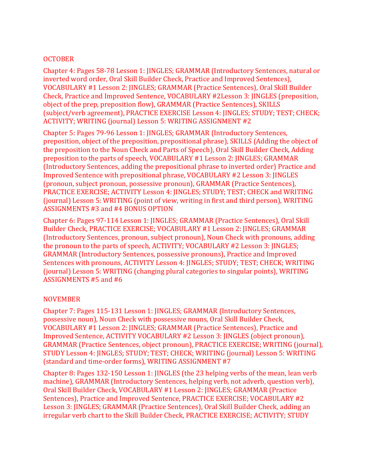#### **OCTOBER**

Chapter 4: Pages 58-78 Lesson 1: JINGLES; GRAMMAR (Introductory Sentences, natural or inverted word order, Oral Skill Builder Check, Practice and Improved Sentences), VOCABULARY #1 Lesson 2: JINGLES; GRAMMAR (Practice Sentences), Oral Skill Builder Check, Practice and Improved Sentence, VOCABULARY #2Lesson 3: JINGLES (preposition, object of the prep, preposition flow), GRAMMAR (Practice Sentences), SKILLS (subject/verb agreement), PRACTICE EXERCISE Lesson 4: JINGLES; STUDY; TEST; CHECK; ACTIVITY; WRITING (journal) Lesson 5: WRITING ASSIGNMENT #2

Chapter 5: Pages 79-96 Lesson 1: JINGLES; GRAMMAR (Introductory Sentences, preposition, object of the preposition, prepositional phrase), SKILLS (Adding the object of the preposition to the Noun Check and Parts of Speech), Oral Skill Builder Check, Adding preposition to the parts of speech, VOCABULARY #1 Lesson 2: JINGLES; GRAMMAR (Introductory Sentences, adding the prepositional phrase to inverted order) Practice and Improved Sentence with prepositional phrase, VOCABULARY #2 Lesson 3: JINGLES (pronoun, subject pronoun, possessive pronoun), GRAMMAR (Practice Sentences), PRACTICE EXERCISE; ACTIVITY Lesson 4: JINGLES; STUDY; TEST; CHECK and WRITING (journal) Lesson 5: WRITING (point of view, writing in first and third person), WRITING ASSIGNMENTS #3 and #4 BONUS OPTION

Chapter 6: Pages 97-114 Lesson 1: JINGLES; GRAMMAR (Practice Sentences), Oral Skill Builder Check, PRACTICE EXERCISE; VOCABULARY #1 Lesson 2: JINGLES; GRAMMAR (Introductory Sentences, pronoun, subject pronoun), Noun Check with pronouns, adding the pronoun to the parts of speech, ACTIVITY; VOCABULARY #2 Lesson 3: JINGLES; GRAMMAR (Introductory Sentences, possessive pronouns), Practice and Improved Sentences with pronouns, ACTIVITY Lesson 4: JINGLES; STUDY; TEST; CHECK; WRITING (journal) Lesson 5: WRITING (changing plural categories to singular points), WRITING ASSIGNMENTS #5 and #6

#### NOVEMBER

Chapter 7: Pages 115-131 Lesson 1: JINGLES; GRAMMAR (Introductory Sentences, possessive noun), Noun Check with possessive nouns, Oral Skill Builder Check, VOCABULARY #1 Lesson 2: JINGLES; GRAMMAR (Practice Sentences), Practice and Improved Sentence, ACTIVITY VOCABULARY #2 Lesson 3: JINGLES (object pronoun), GRAMMAR (Practice Sentences, object pronoun), PRACTICE EXERCISE; WRITING (journal), STUDY Lesson 4: JINGLES; STUDY; TEST; CHECK; WRITING (journal) Lesson 5: WRITING (standard and time-order forms), WRITING ASSIGNMENT #7

Chapter 8: Pages 132-150 Lesson 1: JINGLES (the 23 helping verbs of the mean, lean verb machine), GRAMMAR (Introductory Sentences, helping verb, not adverb, question verb), Oral Skill Builder Check, VOCABULARY #1 Lesson 2: JINGLES; GRAMMAR (Practice Sentences), Practice and Improved Sentence, PRACTICE EXERCISE; VOCABULARY #2 Lesson 3: JINGLES; GRAMMAR (Practice Sentences), Oral Skill Builder Check, adding an irregular verb chart to the Skill Builder Check, PRACTICE EXERCISE; ACTIVITY; STUDY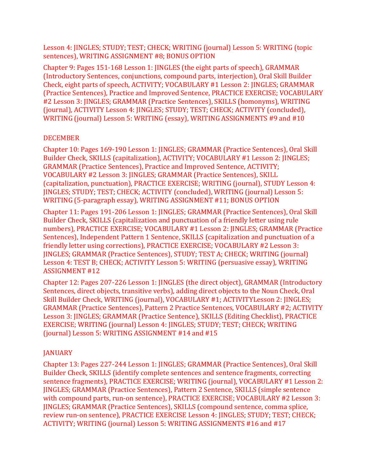Lesson 4: JINGLES; STUDY; TEST; CHECK; WRITING (journal) Lesson 5: WRITING (topic sentences), WRITING ASSIGNMENT #8; BONUS OPTION

Chapter 9: Pages 151-168 Lesson 1: JINGLES (the eight parts of speech), GRAMMAR (Introductory Sentences, conjunctions, compound parts, interjection), Oral Skill Builder Check, eight parts of speech, ACTIVITY; VOCABULARY #1 Lesson 2: JINGLES; GRAMMAR (Practice Sentences), Practice and Improved Sentence, PRACTICE EXERCISE; VOCABULARY #2 Lesson 3: JINGLES; GRAMMAR (Practice Sentences), SKILLS (homonyms), WRITING (journal), ACTIVITY Lesson 4: JINGLES; STUDY; TEST; CHECK; ACTIVITY (concluded), WRITING (journal) Lesson 5: WRITING (essay), WRITING ASSIGNMENTS #9 and #10

## DECEMBER

Chapter 10: Pages 169-190 Lesson 1: JINGLES; GRAMMAR (Practice Sentences), Oral Skill Builder Check, SKILLS (capitalization), ACTIVITY; VOCABULARY #1 Lesson 2: JINGLES; GRAMMAR (Practice Sentences), Practice and Improved Sentence, ACTIVITY; VOCABULARY #2 Lesson 3: JINGLES; GRAMMAR (Practice Sentences), SKILL (capitalization, punctuation), PRACTICE EXERCISE; WRITING (journal), STUDY Lesson 4: JINGLES; STUDY; TEST; CHECK; ACTIVITY (concluded), WRITING (journal) Lesson 5: WRITING (5-paragraph essay), WRITING ASSIGNMENT #11; BONUS OPTION

Chapter 11: Pages 191-206 Lesson 1: JINGLES; GRAMMAR (Practice Sentences), Oral Skill Builder Check, SKILLS (capitalization and punctuation of a friendly letter using rule numbers), PRACTICE EXERCISE; VOCABULARY #1 Lesson 2: JINGLES; GRAMMAR (Practice Sentences), Independent Pattern 1 Sentence, SKILLS (capitalization and punctuation of a friendly letter using corrections), PRACTICE EXERCISE; VOCABULARY #2 Lesson 3: JINGLES; GRAMMAR (Practice Sentences), STUDY; TEST A; CHECK; WRITING (journal) Lesson 4: TEST B; CHECK; ACTIVITY Lesson 5: WRITING (persuasive essay), WRITING ASSIGNMENT #12

Chapter 12: Pages 207-226 Lesson 1: JINGLES (the direct object), GRAMMAR (Introductory Sentences, direct objects, transitive verbs), adding direct objects to the Noun Check, Oral Skill Builder Check, WRITING (journal), VOCABULARY #1; ACTIVITYLesson 2: JINGLES; GRAMMAR (Practice Sentences), Pattern 2 Practice Sentences, VOCABULARY #2; ACTIVITY Lesson 3: JINGLES; GRAMMAR (Practice Sentence), SKILLS (Editing Checklist), PRACTICE EXERCISE; WRITING (journal) Lesson 4: JINGLES; STUDY; TEST; CHECK; WRITING (journal) Lesson 5: WRITING ASSIGNMENT #14 and #15

## **JANUARY**

Chapter 13: Pages 227-244 Lesson 1: JINGLES; GRAMMAR (Practice Sentences), Oral Skill Builder Check, SKILLS (identify complete sentences and sentence fragments, correcting sentence fragments), PRACTICE EXERCISE; WRITING (journal), VOCABULARY #1 Lesson 2: JINGLES; GRAMMAR (Practice Sentences), Pattern 2 Sentence, SKILLS (simple sentence with compound parts, run-on sentence), PRACTICE EXERCISE; VOCABULARY #2 Lesson 3: JINGLES; GRAMMAR (Practice Sentences), SKILLS (compound sentence, comma splice, review run-on sentence), PRACTICE EXERCISE Lesson 4: JINGLES; STUDY; TEST; CHECK; ACTIVITY; WRITING (journal) Lesson 5: WRITING ASSIGNMENTS #16 and #17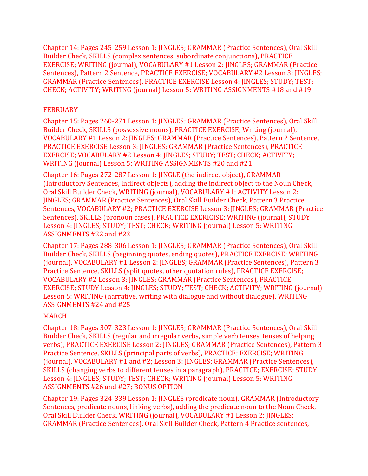Chapter 14: Pages 245-259 Lesson 1: JINGLES; GRAMMAR (Practice Sentences), Oral Skill Builder Check, SKILLS (complex sentences, subordinate conjunctions), PRACTICE EXERCISE; WRITING (journal), VOCABULARY #1 Lesson 2: JINGLES; GRAMMAR (Practice Sentences), Pattern 2 Sentence, PRACTICE EXERCISE; VOCABULARY #2 Lesson 3: JINGLES; GRAMMAR (Practice Sentences), PRACTICE EXERCISE Lesson 4: JINGLES; STUDY; TEST; CHECK; ACTIVITY; WRITING (journal) Lesson 5: WRITING ASSIGNMENTS #18 and #19

# FEBRUARY

Chapter 15: Pages 260-271 Lesson 1: JINGLES; GRAMMAR (Practice Sentences), Oral Skill Builder Check, SKILLS (possessive nouns), PRACTICE EXERCISE; Writing (journal), VOCABULARY #1 Lesson 2: JINGLES; GRAMMAR (Practice Sentences), Pattern 2 Sentence, PRACTICE EXERCISE Lesson 3: JINGLES; GRAMMAR (Practice Sentences), PRACTICE EXERCISE; VOCABULARY #2 Lesson 4: JINGLES; STUDY; TEST; CHECK; ACTIVITY; WRITING (journal) Lesson 5: WRITING ASSIGNMENTS #20 and #21

Chapter 16: Pages 272-287 Lesson 1: JINGLE (the indirect object), GRAMMAR (Introductory Sentences, indirect objects), adding the indirect object to the Noun Check, Oral Skill Builder Check, WRITING (journal), VOCABULARY #1; ACTIVITY Lesson 2: JINGLES; GRAMMAR (Practice Sentences), Oral Skill Builder Check, Pattern 3 Practice Sentences, VOCABULARY #2; PRACTICE EXERCISE Lesson 3: JINGLES; GRAMMAR (Practice Sentences), SKILLS (pronoun cases), PRACTICE EXERICISE; WRITING (journal), STUDY Lesson 4: JINGLES; STUDY; TEST; CHECK; WRITING (journal) Lesson 5: WRITING ASSIGNMENTS #22 and #23

Chapter 17: Pages 288-306 Lesson 1: JINGLES; GRAMMAR (Practice Sentences), Oral Skill Builder Check, SKILLS (beginning quotes, ending quotes), PRACTICE EXERCISE; WRITING (journal), VOCABULARY #1 Lesson 2: JINGLES; GRAMMAR (Practice Sentences), Pattern 3 Practice Sentence, SKILLS (split quotes, other quotation rules), PRACTICE EXERCISE; VOCABULARY #2 Lesson 3: JINGLES; GRAMMAR (Practice Sentences), PRACTICE EXERCISE; STUDY Lesson 4: JINGLES; STUDY; TEST; CHECK; ACTIVITY; WRITING (journal) Lesson 5: WRITING (narrative, writing with dialogue and without dialogue), WRITING ASSIGNMENTS #24 and #25

# MARCH

Chapter 18: Pages 307-323 Lesson 1: JINGLES; GRAMMAR (Practice Sentences), Oral Skill Builder Check, SKILLS (regular and irregular verbs, simple verb tenses, tenses of helping verbs), PRACTICE EXERCISE Lesson 2: JINGLES; GRAMMAR (Practice Sentences), Pattern 3 Practice Sentence, SKILLS (principal parts of verbs), PRACTICE; EXERCISE; WRITING (journal), VOCABULARY #1 and #2; Lesson 3: JINGLES; GRAMMAR (Practice Sentences), SKILLS (changing verbs to different tenses in a paragraph), PRACTICE; EXERCISE; STUDY Lesson 4: JINGLES; STUDY; TEST; CHECK; WRITING (journal) Lesson 5: WRITING ASSIGNMENTS #26 and #27; BONUS OPTION

Chapter 19: Pages 324-339 Lesson 1: JINGLES (predicate noun), GRAMMAR (Introductory Sentences, predicate nouns, linking verbs), adding the predicate noun to the Noun Check, Oral Skill Builder Check, WRITING (journal), VOCABULARY #1 Lesson 2: JINGLES; GRAMMAR (Practice Sentences), Oral Skill Builder Check, Pattern 4 Practice sentences,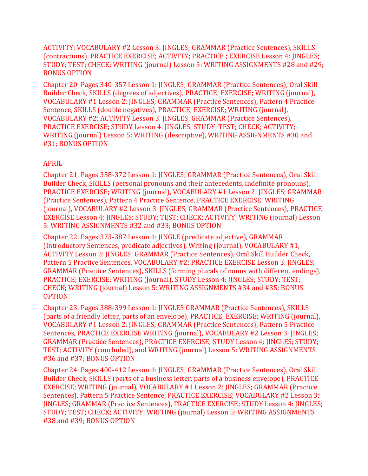ACTIVITY; VOCABULARY #2 Lesson 3: JINGLES; GRAMMAR (Practice Sentences), SKILLS (contractions), PRACTICE EXERCISE; ACTIVITY; PRACTICE ; EXERCISE Lesson 4: JINGLES; STUDY; TEST; CHECK; WRITING (journal) Lesson 5: WRITING ASSIGNMENTS #28 and #29; BONUS OPTION

Chapter 20: Pages 340-357 Lesson 1: JINGLES; GRAMMAR (Practice Sentences), Oral Skill Builder Check, SKILLS (degrees of adjectives), PRACTICE; EXERCISE; WRITING (journal), VOCABULARY #1 Lesson 2: JINGLES; GRAMMAR (Practice Sentences), Pattern 4 Practice Sentence, SKILLS (double negatives), PRACTICE; EXERCISE; WRITING (journal), VOCABULARY #2; ACTIVITY Lesson 3: JINGLES; GRAMMAR (Practice Sentences), PRACTICE EXERCISE; STUDY Lesson 4: JINGLES; STUDY; TEST; CHECK; ACTIVITY; WRITING (journal) Lesson 5: WRITING (descriptive), WRITING ASSIGNMENTS #30 and #31; BONUS OPTION

### APRIL

Chapter 21: Pages 358-372 Lesson 1: JINGLES; GRAMMAR (Practice Sentences), Oral Skill Builder Check, SKILLS (personal pronouns and their antecedents, indefinite pronouns), PRACTICE EXERCISE; WRITING (journal), VOCABULARY #1 Lesson 2: JINGLES; GRAMMAR (Practice Sentences), Pattern 4 Practice Sentence, PRACTICE EXERCISE; WRITING (journal), VOCABULARY #2 Lesson 3: JINGLES; GRAMMAR (Practice Sentences), PRACTICE EXERCISE Lesson 4: JINGLES; STUDY; TEST; CHECK; ACTIVITY; WRITING (journal) Lesson 5: WRITING ASSIGNMENTS #32 and #33; BONUS OPTION

Chapter 22: Pages 373-387 Lesson 1: JINGLE (predicate adjective), GRAMMAR (Introductory Sentences, predicate adjectives), Writing (journal), VOCABULARY #1; ACTIVITY Lesson 2: JINGLES; GRAMMAR (Practice Sentences), Oral Skill Builder Check, Pattern 5 Practice Sentences, VOCABULARY #2; PRACTICE EXERCISE Lesson 3: JINGLES; GRAMMAR (Practice Sentences), SKILLS (forming plurals of nouns with different endings), PRACTICE; EXERCISE; WRITING (journal), STUDY Lesson 4: JINGLES; STUDY; TEST; CHECK; WRITING (journal) Lesson 5: WRITING ASSIGNMENTS #34 and #35; BONUS OPTION

Chapter 23: Pages 388-399 Lesson 1: JINGLES GRAMMAR (Practice Sentences), SKILLS (parts of a friendly letter, parts of an envelope), PRACTICE; EXERCISE; WRITING (journal), VOCABULARY #1 Lesson 2: JINGLES; GRAMMAR (Practice Sentences), Pattern 5 Practice Sentences, PRACTICE EXERCISE WRITING (journal), VOCABULARY #2 Lesson 3: JINGLES; GRAMMAR (Practice Sentences), PRACTICE EXERCISE; STUDY Lesson 4: JINGLES; STUDY; TEST; ACTIVITY (concluded), and WRITING (journal) Lesson 5: WRITING ASSIGNMENTS #36 and #37; BONUS OPTION

Chapter 24: Pages 400-412 Lesson 1: JINGLES; GRAMMAR (Practice Sentences), Oral Skill Builder Check, SKILLS (parts of a business letter, parts of a business envelope), PRACTICE EXERCISE; WRITING (journal), VOCABULARY #1 Lesson 2: JINGLES; GRAMMAR (Practice Sentences), Pattern 5 Practice Sentence, PRACTICE EXERCISE; VOCABULARY #2 Lesson 3: JINGLES; GRAMMAR (Practice Sentences), PRACTICE EXERCISE; STUDY Lesson 4: JINGLES; STUDY; TEST; CHECK; ACTIVITY; WRITING (journal) Lesson 5: WRITING ASSIGNMENTS #38 and #39; BONUS OPTION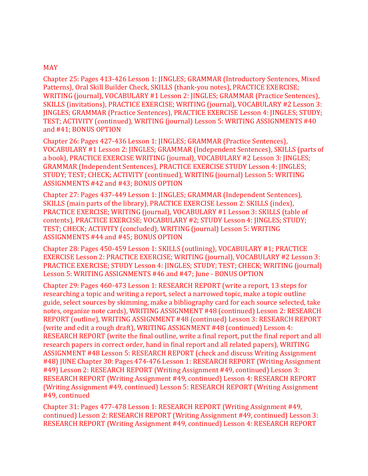#### MAY

Chapter 25: Pages 413-426 Lesson 1: JINGLES; GRAMMAR (Introductory Sentences, Mixed Patterns), Oral Skill Builder Check, SKILLS (thank-you notes), PRACTICE EXERCISE; WRITING (journal), VOCABULARY #1 Lesson 2: JINGLES; GRAMMAR (Practice Sentences), SKILLS (invitations), PRACTICE EXERCISE; WRITING (journal), VOCABULARY #2 Lesson 3: JINGLES; GRAMMAR (Practice Sentences), PRACTICE EXERCISE Lesson 4: JINGLES; STUDY; TEST; ACTIVITY (continued), WRITING (journal) Lesson 5: WRITING ASSIGNMENTS #40 and #41; BONUS OPTION

Chapter 26: Pages 427-436 Lesson 1: JINGLES; GRAMMAR (Practice Sentences), VOCABULARY #1 Lesson 2: JINGLES; GRAMMAR (Independent Sentences), SKILLS (parts of a book), PRACTICE EXERCISE WRITING (journal), VOCABULARY #2 Lesson 3: JINGLES; GRAMMAR (Independent Sentences), PRACTICE EXERCISE STUDY Lesson 4: JINGLES; STUDY; TEST; CHECK; ACTIVITY (continued), WRITING (journal) Lesson 5: WRITING ASSIGNMENTS #42 and #43; BONUS OPTION

Chapter 27: Pages 437-449 Lesson 1: JINGLES; GRAMMAR (Independent Sentences), SKILLS (main parts of the library), PRACTICE EXERCISE Lesson 2: SKILLS (index), PRACTICE EXERCISE; WRITING (journal), VOCABULARY #1 Lesson 3: SKILLS (table of contents), PRACTICE EXERCISE; VOCABULARY #2; STUDY Lesson 4: JINGLES; STUDY; TEST; CHECK; ACTIVITY (concluded), WRITING (journal) Lesson 5: WRITING ASSIGNMENTS #44 and #45; BONUS OPTION

Chapter 28: Pages 450-459 Lesson 1: SKILLS (outlining), VOCABULARY #1; PRACTICE EXERCISE Lesson 2: PRACTICE EXERCISE; WRITING (journal), VOCABULARY #2 Lesson 3: PRACTICE EXERCISE; STUDY Lesson 4: JINGLES; STUDY; TEST; CHECK; WRITING (journal) Lesson 5: WRITING ASSIGNMENTS #46 and #47; June - BONUS OPTION

Chapter 29: Pages 460-473 Lesson 1: RESEARCH REPORT (write a report, 13 steps for researching a topic and writing a report, select a narrowed topic, make a topic outline guide, select sources by skimming, make a bibliography card for each source selected, take notes, organize note cards), WRITING ASSIGNMENT #48 (continued) Lesson 2: RESEARCH REPORT (outline), WRITING ASSIGNMENT #48 (continued) Lesson 3: RESEARCH REPORT (write and edit a rough draft), WRITING ASSIGNMENT #48 (continued) Lesson 4: RESEARCH REPORT (write the final outline, write a final report, put the final report and all research papers in correct order, hand in final report and all related papers), WRITING ASSIGNMENT #48 Lesson 5: RESEARCH REPORT (check and discuss Writing Assignment #48) JUNE Chapter 30: Pages 474-476 Lesson 1: RESEARCH REPORT (Writing Assignment #49) Lesson 2: RESEARCH REPORT (Writing Assignment #49, continued) Lesson 3: RESEARCH REPORT (Writing Assignment #49, continued) Lesson 4: RESEARCH REPORT (Writing Assignment #49, continued) Lesson 5: RESEARCH REPORT (Writing Assignment #49, continued

Chapter 31: Pages 477-478 Lesson 1: RESEARCH REPORT (Writing Assignment #49, continued) Lesson 2: RESEARCH REPORT (Writing Assignment #49, continued) Lesson 3: RESEARCH REPORT (Writing Assignment #49, continued) Lesson 4: RESEARCH REPORT